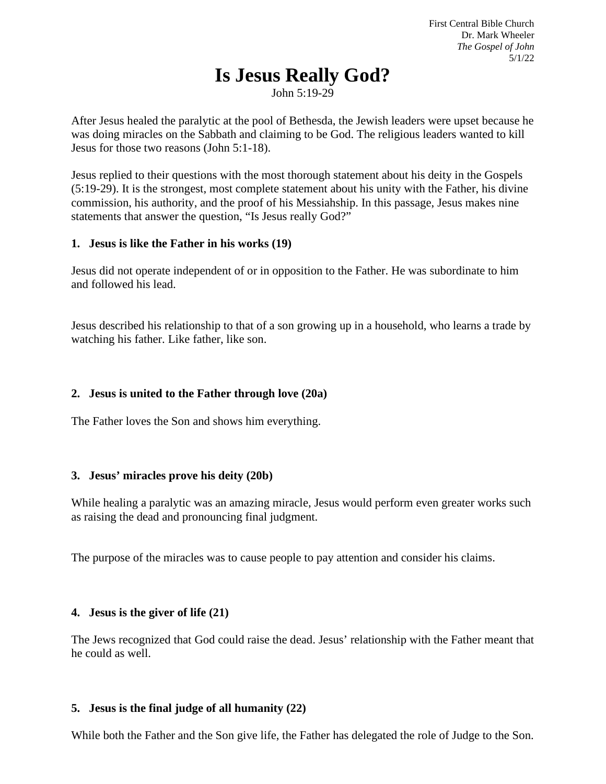# **Is Jesus Really God?**

John 5:19-29

After Jesus healed the paralytic at the pool of Bethesda, the Jewish leaders were upset because he was doing miracles on the Sabbath and claiming to be God. The religious leaders wanted to kill Jesus for those two reasons (John 5:1-18).

Jesus replied to their questions with the most thorough statement about his deity in the Gospels (5:19-29). It is the strongest, most complete statement about his unity with the Father, his divine commission, his authority, and the proof of his Messiahship. In this passage, Jesus makes nine statements that answer the question, "Is Jesus really God?"

#### **1. Jesus is like the Father in his works (19)**

Jesus did not operate independent of or in opposition to the Father. He was subordinate to him and followed his lead.

Jesus described his relationship to that of a son growing up in a household, who learns a trade by watching his father. Like father, like son.

# **2. Jesus is united to the Father through love (20a)**

The Father loves the Son and shows him everything.

# **3. Jesus' miracles prove his deity (20b)**

While healing a paralytic was an amazing miracle, Jesus would perform even greater works such as raising the dead and pronouncing final judgment.

The purpose of the miracles was to cause people to pay attention and consider his claims.

# **4. Jesus is the giver of life (21)**

The Jews recognized that God could raise the dead. Jesus' relationship with the Father meant that he could as well.

# **5. Jesus is the final judge of all humanity (22)**

While both the Father and the Son give life, the Father has delegated the role of Judge to the Son.